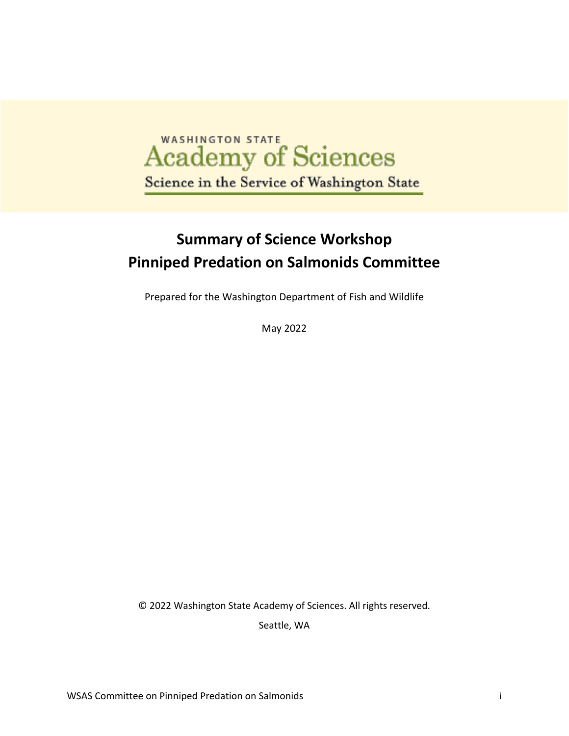# **Academy of Sciences** Science in the Service of Washington State

# **Summary of Science Workshop Pinniped Predation on Salmonids Committee**

Prepared for the Washington Department of Fish and Wildlife

May 2022

© 2022 Washington State Academy of Sciences. All rights reserved.

Seattle, WA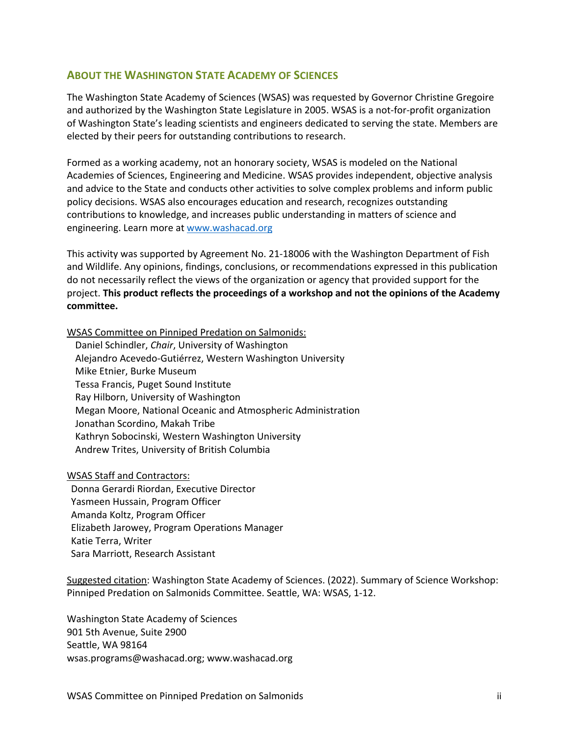### **ABOUT THE WASHINGTON STATE ACADEMY OF SCIENCES**

The Washington State Academy of Sciences (WSAS) was requested by Governor Christine Gregoire and authorized by the Washington State Legislature in 2005. WSAS is a not-for-profit organization of Washington State's leading scientists and engineers dedicated to serving the state. Members are elected by their peers for outstanding contributions to research.

Formed as a working academy, not an honorary society, WSAS is modeled on the National Academies of Sciences, Engineering and Medicine. WSAS provides independent, objective analysis and advice to the State and conducts other activities to solve complex problems and inform public policy decisions. WSAS also encourages education and research, recognizes outstanding contributions to knowledge, and increases public understanding in matters of science and engineering. Learn more at www.washacad.org

This activity was supported by Agreement No. 21-18006 with the Washington Department of Fish and Wildlife. Any opinions, findings, conclusions, or recommendations expressed in this publication do not necessarily reflect the views of the organization or agency that provided support for the project. **This product reflects the proceedings of a workshop and not the opinions of the Academy committee.**

WSAS Committee on Pinniped Predation on Salmonids:

Daniel Schindler, *Chair*, University of Washington Alejandro Acevedo-Gutiérrez, Western Washington University Mike Etnier, Burke Museum Tessa Francis, Puget Sound Institute Ray Hilborn, University of Washington Megan Moore, National Oceanic and Atmospheric Administration Jonathan Scordino, Makah Tribe Kathryn Sobocinski, Western Washington University Andrew Trites, University of British Columbia

WSAS Staff and Contractors:

Donna Gerardi Riordan, Executive Director Yasmeen Hussain, Program Officer Amanda Koltz, Program Officer Elizabeth Jarowey, Program Operations Manager Katie Terra, Writer Sara Marriott, Research Assistant

Suggested citation: Washington State Academy of Sciences. (2022). Summary of Science Workshop: Pinniped Predation on Salmonids Committee. Seattle, WA: WSAS, 1-12.

Washington State Academy of Sciences 901 5th Avenue, Suite 2900 Seattle, WA 98164 wsas.programs@washacad.org; www.washacad.org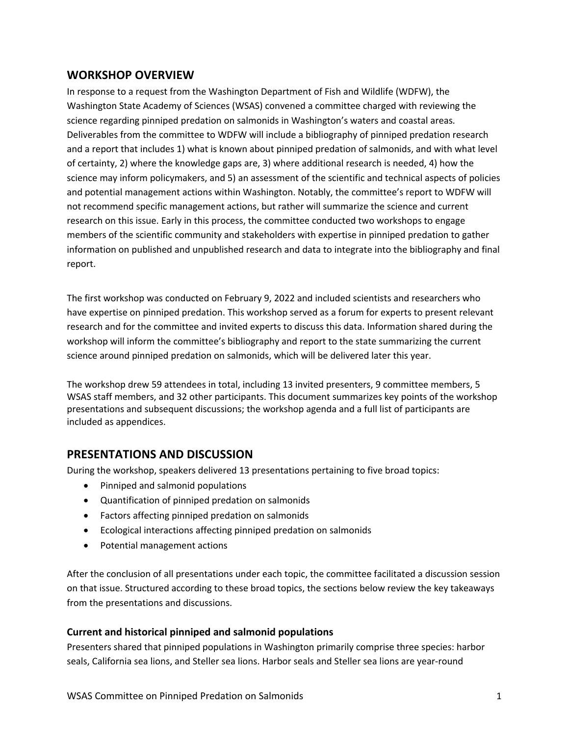# **WORKSHOP OVERVIEW**

In response to a request from the Washington Department of Fish and Wildlife (WDFW), the Washington State Academy of Sciences (WSAS) convened a committee charged with reviewing the science regarding pinniped predation on salmonids in Washington's waters and coastal areas. Deliverables from the committee to WDFW will include a bibliography of pinniped predation research and a report that includes 1) what is known about pinniped predation of salmonids, and with what level of certainty, 2) where the knowledge gaps are, 3) where additional research is needed, 4) how the science may inform policymakers, and 5) an assessment of the scientific and technical aspects of policies and potential management actions within Washington. Notably, the committee's report to WDFW will not recommend specific management actions, but rather will summarize the science and current research on this issue. Early in this process, the committee conducted two workshops to engage members of the scientific community and stakeholders with expertise in pinniped predation to gather information on published and unpublished research and data to integrate into the bibliography and final report.

The first workshop was conducted on February 9, 2022 and included scientists and researchers who have expertise on pinniped predation. This workshop served as a forum for experts to present relevant research and for the committee and invited experts to discuss this data. Information shared during the workshop will inform the committee's bibliography and report to the state summarizing the current science around pinniped predation on salmonids, which will be delivered later this year.

The workshop drew 59 attendees in total, including 13 invited presenters, 9 committee members, 5 WSAS staff members, and 32 other participants. This document summarizes key points of the workshop presentations and subsequent discussions; the workshop agenda and a full list of participants are included as appendices.

## **PRESENTATIONS AND DISCUSSION**

During the workshop, speakers delivered 13 presentations pertaining to five broad topics:

- Pinniped and salmonid populations
- Quantification of pinniped predation on salmonids
- Factors affecting pinniped predation on salmonids
- Ecological interactions affecting pinniped predation on salmonids
- Potential management actions

After the conclusion of all presentations under each topic, the committee facilitated a discussion session on that issue. Structured according to these broad topics, the sections below review the key takeaways from the presentations and discussions.

#### **Current and historical pinniped and salmonid populations**

Presenters shared that pinniped populations in Washington primarily comprise three species: harbor seals, California sea lions, and Steller sea lions. Harbor seals and Steller sea lions are year-round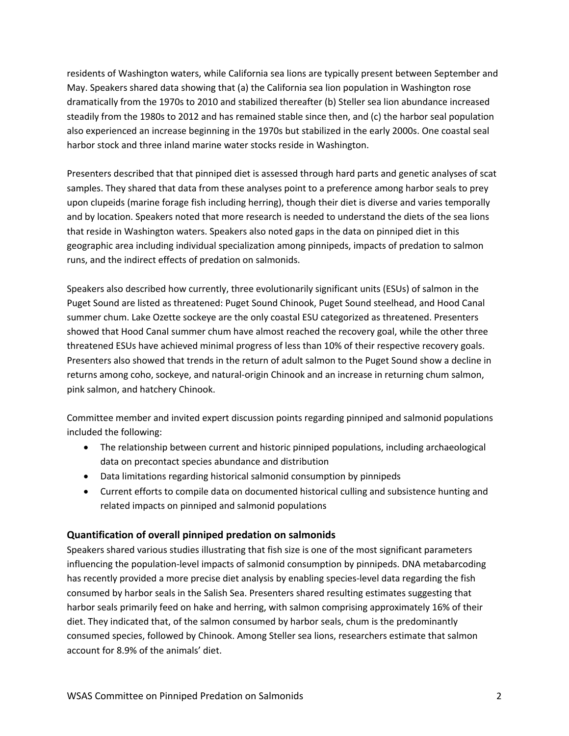residents of Washington waters, while California sea lions are typically present between September and May. Speakers shared data showing that (a) the California sea lion population in Washington rose dramatically from the 1970s to 2010 and stabilized thereafter (b) Steller sea lion abundance increased steadily from the 1980s to 2012 and has remained stable since then, and (c) the harbor seal population also experienced an increase beginning in the 1970s but stabilized in the early 2000s. One coastal seal harbor stock and three inland marine water stocks reside in Washington.

Presenters described that that pinniped diet is assessed through hard parts and genetic analyses of scat samples. They shared that data from these analyses point to a preference among harbor seals to prey upon clupeids (marine forage fish including herring), though their diet is diverse and varies temporally and by location. Speakers noted that more research is needed to understand the diets of the sea lions that reside in Washington waters. Speakers also noted gaps in the data on pinniped diet in this geographic area including individual specialization among pinnipeds, impacts of predation to salmon runs, and the indirect effects of predation on salmonids.

Speakers also described how currently, three evolutionarily significant units (ESUs) of salmon in the Puget Sound are listed as threatened: Puget Sound Chinook, Puget Sound steelhead, and Hood Canal summer chum. Lake Ozette sockeye are the only coastal ESU categorized as threatened. Presenters showed that Hood Canal summer chum have almost reached the recovery goal, while the other three threatened ESUs have achieved minimal progress of less than 10% of their respective recovery goals. Presenters also showed that trends in the return of adult salmon to the Puget Sound show a decline in returns among coho, sockeye, and natural-origin Chinook and an increase in returning chum salmon, pink salmon, and hatchery Chinook.

Committee member and invited expert discussion points regarding pinniped and salmonid populations included the following:

- The relationship between current and historic pinniped populations, including archaeological data on precontact species abundance and distribution
- Data limitations regarding historical salmonid consumption by pinnipeds
- Current efforts to compile data on documented historical culling and subsistence hunting and related impacts on pinniped and salmonid populations

#### **Quantification of overall pinniped predation on salmonids**

Speakers shared various studies illustrating that fish size is one of the most significant parameters influencing the population-level impacts of salmonid consumption by pinnipeds. DNA metabarcoding has recently provided a more precise diet analysis by enabling species-level data regarding the fish consumed by harbor seals in the Salish Sea. Presenters shared resulting estimates suggesting that harbor seals primarily feed on hake and herring, with salmon comprising approximately 16% of their diet. They indicated that, of the salmon consumed by harbor seals, chum is the predominantly consumed species, followed by Chinook. Among Steller sea lions, researchers estimate that salmon account for 8.9% of the animals' diet.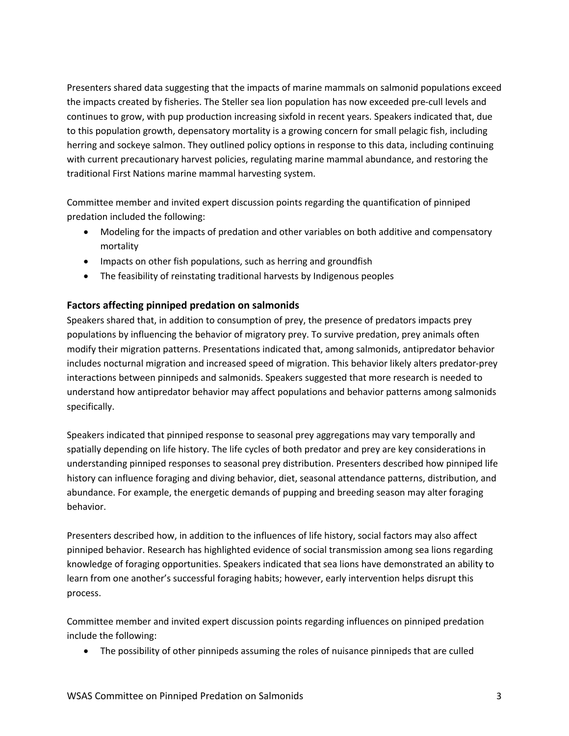Presenters shared data suggesting that the impacts of marine mammals on salmonid populations exceed the impacts created by fisheries. The Steller sea lion population has now exceeded pre-cull levels and continues to grow, with pup production increasing sixfold in recent years. Speakers indicated that, due to this population growth, depensatory mortality is a growing concern for small pelagic fish, including herring and sockeye salmon. They outlined policy options in response to this data, including continuing with current precautionary harvest policies, regulating marine mammal abundance, and restoring the traditional First Nations marine mammal harvesting system.

Committee member and invited expert discussion points regarding the quantification of pinniped predation included the following:

- Modeling for the impacts of predation and other variables on both additive and compensatory mortality
- Impacts on other fish populations, such as herring and groundfish
- The feasibility of reinstating traditional harvests by Indigenous peoples

#### **Factors affecting pinniped predation on salmonids**

Speakers shared that, in addition to consumption of prey, the presence of predators impacts prey populations by influencing the behavior of migratory prey. To survive predation, prey animals often modify their migration patterns. Presentations indicated that, among salmonids, antipredator behavior includes nocturnal migration and increased speed of migration. This behavior likely alters predator-prey interactions between pinnipeds and salmonids. Speakers suggested that more research is needed to understand how antipredator behavior may affect populations and behavior patterns among salmonids specifically.

Speakers indicated that pinniped response to seasonal prey aggregations may vary temporally and spatially depending on life history. The life cycles of both predator and prey are key considerations in understanding pinniped responses to seasonal prey distribution. Presenters described how pinniped life history can influence foraging and diving behavior, diet, seasonal attendance patterns, distribution, and abundance. For example, the energetic demands of pupping and breeding season may alter foraging behavior.

Presenters described how, in addition to the influences of life history, social factors may also affect pinniped behavior. Research has highlighted evidence of social transmission among sea lions regarding knowledge of foraging opportunities. Speakers indicated that sea lions have demonstrated an ability to learn from one another's successful foraging habits; however, early intervention helps disrupt this process.

Committee member and invited expert discussion points regarding influences on pinniped predation include the following:

• The possibility of other pinnipeds assuming the roles of nuisance pinnipeds that are culled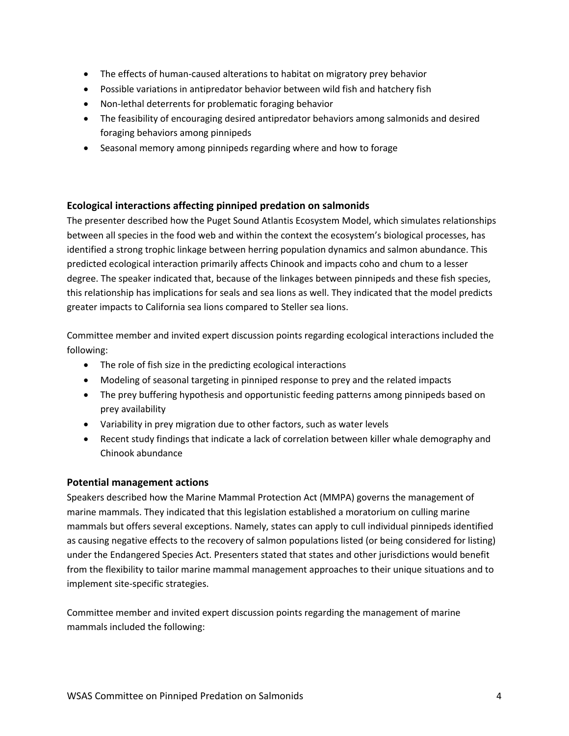- The effects of human-caused alterations to habitat on migratory prey behavior
- Possible variations in antipredator behavior between wild fish and hatchery fish
- Non-lethal deterrents for problematic foraging behavior
- The feasibility of encouraging desired antipredator behaviors among salmonids and desired foraging behaviors among pinnipeds
- Seasonal memory among pinnipeds regarding where and how to forage

#### **Ecological interactions affecting pinniped predation on salmonids**

The presenter described how the Puget Sound Atlantis Ecosystem Model, which simulates relationships between all species in the food web and within the context the ecosystem's biological processes, has identified a strong trophic linkage between herring population dynamics and salmon abundance. This predicted ecological interaction primarily affects Chinook and impacts coho and chum to a lesser degree. The speaker indicated that, because of the linkages between pinnipeds and these fish species, this relationship has implications for seals and sea lions as well. They indicated that the model predicts greater impacts to California sea lions compared to Steller sea lions.

Committee member and invited expert discussion points regarding ecological interactions included the following:

- The role of fish size in the predicting ecological interactions
- Modeling of seasonal targeting in pinniped response to prey and the related impacts
- The prey buffering hypothesis and opportunistic feeding patterns among pinnipeds based on prey availability
- Variability in prey migration due to other factors, such as water levels
- Recent study findings that indicate a lack of correlation between killer whale demography and Chinook abundance

#### **Potential management actions**

Speakers described how the Marine Mammal Protection Act (MMPA) governs the management of marine mammals. They indicated that this legislation established a moratorium on culling marine mammals but offers several exceptions. Namely, states can apply to cull individual pinnipeds identified as causing negative effects to the recovery of salmon populations listed (or being considered for listing) under the Endangered Species Act. Presenters stated that states and other jurisdictions would benefit from the flexibility to tailor marine mammal management approaches to their unique situations and to implement site-specific strategies.

Committee member and invited expert discussion points regarding the management of marine mammals included the following: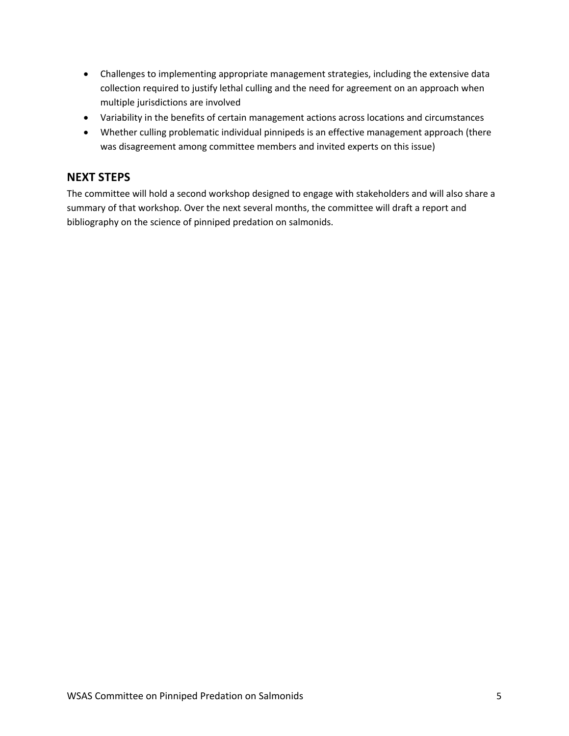- Challenges to implementing appropriate management strategies, including the extensive data collection required to justify lethal culling and the need for agreement on an approach when multiple jurisdictions are involved
- Variability in the benefits of certain management actions across locations and circumstances
- Whether culling problematic individual pinnipeds is an effective management approach (there was disagreement among committee members and invited experts on this issue)

# **NEXT STEPS**

The committee will hold a second workshop designed to engage with stakeholders and will also share a summary of that workshop. Over the next several months, the committee will draft a report and bibliography on the science of pinniped predation on salmonids.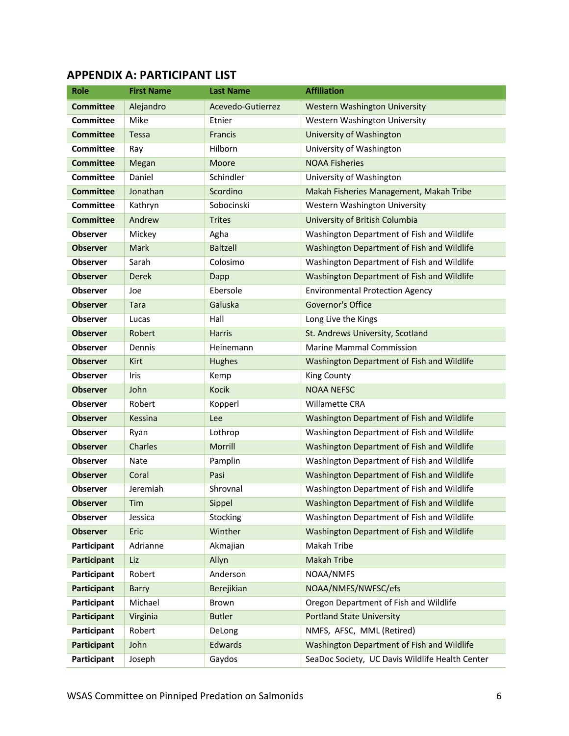| Role             | <b>First Name</b> | <b>Last Name</b>  | <b>Affiliation</b>                              |
|------------------|-------------------|-------------------|-------------------------------------------------|
| <b>Committee</b> | Alejandro         | Acevedo-Gutierrez | <b>Western Washington University</b>            |
| <b>Committee</b> | Mike              | Etnier            | Western Washington University                   |
| <b>Committee</b> | <b>Tessa</b>      | <b>Francis</b>    | University of Washington                        |
| <b>Committee</b> | Ray               | Hilborn           | University of Washington                        |
| <b>Committee</b> | Megan             | Moore             | <b>NOAA Fisheries</b>                           |
| Committee        | Daniel            | Schindler         | University of Washington                        |
| <b>Committee</b> | Jonathan          | Scordino          | Makah Fisheries Management, Makah Tribe         |
| <b>Committee</b> | Kathryn           | Sobocinski        | Western Washington University                   |
| <b>Committee</b> | Andrew            | <b>Trites</b>     | University of British Columbia                  |
| <b>Observer</b>  | Mickey            | Agha              | Washington Department of Fish and Wildlife      |
| <b>Observer</b>  | Mark              | <b>Baltzell</b>   | Washington Department of Fish and Wildlife      |
| <b>Observer</b>  | Sarah             | Colosimo          | Washington Department of Fish and Wildlife      |
| <b>Observer</b>  | Derek             | Dapp              | Washington Department of Fish and Wildlife      |
| <b>Observer</b>  | Joe               | Ebersole          | <b>Environmental Protection Agency</b>          |
| <b>Observer</b>  | <b>Tara</b>       | Galuska           | Governor's Office                               |
| <b>Observer</b>  | Lucas             | Hall              | Long Live the Kings                             |
| <b>Observer</b>  | Robert            | <b>Harris</b>     | St. Andrews University, Scotland                |
| <b>Observer</b>  | Dennis            | Heinemann         | <b>Marine Mammal Commission</b>                 |
| <b>Observer</b>  | Kirt              | Hughes            | Washington Department of Fish and Wildlife      |
| <b>Observer</b>  | Iris              | Kemp              | <b>King County</b>                              |
| <b>Observer</b>  | John              | Kocik             | <b>NOAA NEFSC</b>                               |
| <b>Observer</b>  | Robert            | Kopperl           | Willamette CRA                                  |
| <b>Observer</b>  | Kessina           | Lee               | Washington Department of Fish and Wildlife      |
| <b>Observer</b>  | Ryan              | Lothrop           | Washington Department of Fish and Wildlife      |
| <b>Observer</b>  | <b>Charles</b>    | Morrill           | Washington Department of Fish and Wildlife      |
| <b>Observer</b>  | Nate              | Pamplin           | Washington Department of Fish and Wildlife      |
| <b>Observer</b>  | Coral             | Pasi              | Washington Department of Fish and Wildlife      |
| Observer         | Jeremiah          | Shrovnal          | Washington Department of Fish and Wildlife      |
| <b>Observer</b>  | Tim               | Sippel            | Washington Department of Fish and Wildlife      |
| <b>Observer</b>  | Jessica           | Stocking          | Washington Department of Fish and Wildlife      |
| <b>Observer</b>  | Eric              | Winther           | Washington Department of Fish and Wildlife      |
| Participant      | Adrianne          | Akmajian          | Makah Tribe                                     |
| Participant      | Liz               | Allyn             | <b>Makah Tribe</b>                              |
| Participant      | Robert            | Anderson          | NOAA/NMFS                                       |
| Participant      | <b>Barry</b>      | Berejikian        | NOAA/NMFS/NWFSC/efs                             |
| Participant      | Michael           | Brown             | Oregon Department of Fish and Wildlife          |
| Participant      | Virginia          | <b>Butler</b>     | <b>Portland State University</b>                |
| Participant      | Robert            | DeLong            | NMFS, AFSC, MML (Retired)                       |
| Participant      | John              | Edwards           | Washington Department of Fish and Wildlife      |
| Participant      | Joseph            | Gaydos            | SeaDoc Society, UC Davis Wildlife Health Center |

# **APPENDIX A: PARTICIPANT LIST**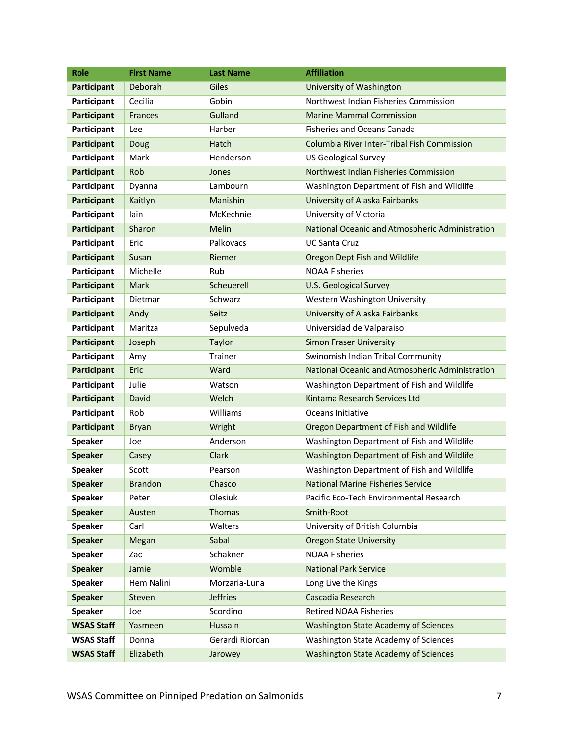| <b>Role</b>       | <b>First Name</b> | <b>Last Name</b> | <b>Affiliation</b>                              |
|-------------------|-------------------|------------------|-------------------------------------------------|
| Participant       | Deborah           | Giles            | University of Washington                        |
| Participant       | Cecilia           | Gobin            | Northwest Indian Fisheries Commission           |
| Participant       | <b>Frances</b>    | Gulland          | <b>Marine Mammal Commission</b>                 |
| Participant       | Lee               | Harber           | <b>Fisheries and Oceans Canada</b>              |
| Participant       | Doug              | Hatch            | Columbia River Inter-Tribal Fish Commission     |
| Participant       | Mark              | Henderson        | <b>US Geological Survey</b>                     |
| Participant       | Rob               | Jones            | Northwest Indian Fisheries Commission           |
| Participant       | Dyanna            | Lambourn         | Washington Department of Fish and Wildlife      |
| Participant       | Kaitlyn           | Manishin         | University of Alaska Fairbanks                  |
| Participant       | lain              | McKechnie        | University of Victoria                          |
| Participant       | Sharon            | Melin            | National Oceanic and Atmospheric Administration |
| Participant       | Eric              | Palkovacs        | <b>UC Santa Cruz</b>                            |
| Participant       | Susan             | Riemer           | Oregon Dept Fish and Wildlife                   |
| Participant       | Michelle          | Rub              | <b>NOAA Fisheries</b>                           |
| Participant       | <b>Mark</b>       | Scheuerell       | <b>U.S. Geological Survey</b>                   |
| Participant       | Dietmar           | Schwarz          | Western Washington University                   |
| Participant       | Andy              | Seitz            | University of Alaska Fairbanks                  |
| Participant       | Maritza           | Sepulveda        | Universidad de Valparaiso                       |
| Participant       | Joseph            | Taylor           | <b>Simon Fraser University</b>                  |
| Participant       | Amy               | Trainer          | Swinomish Indian Tribal Community               |
| Participant       | Eric              | Ward             | National Oceanic and Atmospheric Administration |
| Participant       | Julie             | Watson           | Washington Department of Fish and Wildlife      |
| Participant       | David             | Welch            | Kintama Research Services Ltd                   |
| Participant       | Rob               | Williams         | Oceans Initiative                               |
| Participant       | <b>Bryan</b>      | Wright           | Oregon Department of Fish and Wildlife          |
| <b>Speaker</b>    | Joe               | Anderson         | Washington Department of Fish and Wildlife      |
| <b>Speaker</b>    | Casey             | Clark            | Washington Department of Fish and Wildlife      |
| <b>Speaker</b>    | Scott             | Pearson          | Washington Department of Fish and Wildlife      |
| <b>Speaker</b>    | <b>Brandon</b>    | Chasco           | <b>National Marine Fisheries Service</b>        |
| <b>Speaker</b>    | Peter             | Olesiuk          | Pacific Eco-Tech Environmental Research         |
| <b>Speaker</b>    | Austen            | Thomas           | Smith-Root                                      |
| <b>Speaker</b>    | Carl              | Walters          | University of British Columbia                  |
| <b>Speaker</b>    | Megan             | Sabal            | <b>Oregon State University</b>                  |
| <b>Speaker</b>    | Zac               | Schakner         | <b>NOAA Fisheries</b>                           |
| <b>Speaker</b>    | Jamie             | Womble           | <b>National Park Service</b>                    |
| <b>Speaker</b>    | Hem Nalini        | Morzaria-Luna    | Long Live the Kings                             |
| <b>Speaker</b>    | Steven            | <b>Jeffries</b>  | Cascadia Research                               |
| <b>Speaker</b>    | Joe               | Scordino         | <b>Retired NOAA Fisheries</b>                   |
| <b>WSAS Staff</b> | Yasmeen           | Hussain          | <b>Washington State Academy of Sciences</b>     |
| <b>WSAS Staff</b> | Donna             | Gerardi Riordan  | Washington State Academy of Sciences            |
| <b>WSAS Staff</b> | Elizabeth         | Jarowey          | <b>Washington State Academy of Sciences</b>     |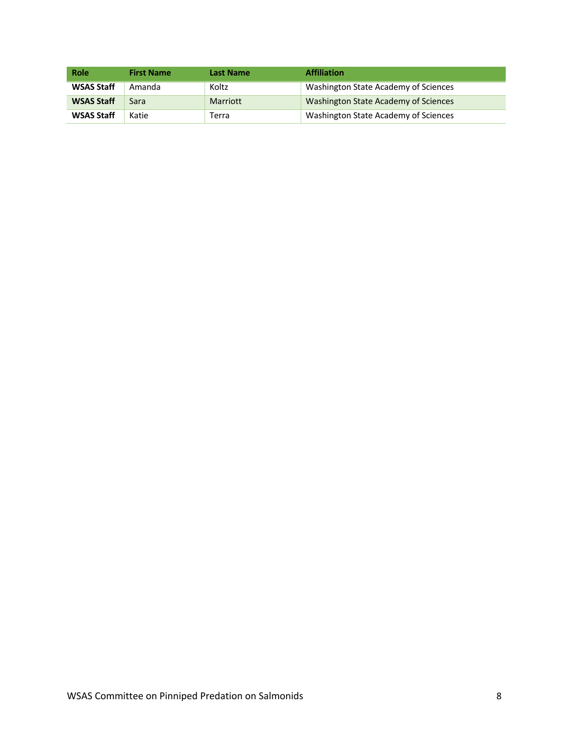| <b>Role</b>       | <b>First Name</b> | <b>Last Name</b> | <b>Affiliation</b>                   |
|-------------------|-------------------|------------------|--------------------------------------|
| <b>WSAS Staff</b> | Amanda            | Koltz            | Washington State Academy of Sciences |
| <b>WSAS Staff</b> | Sara              | <b>Marriott</b>  | Washington State Academy of Sciences |
| <b>WSAS Staff</b> | Katie             | Terra            | Washington State Academy of Sciences |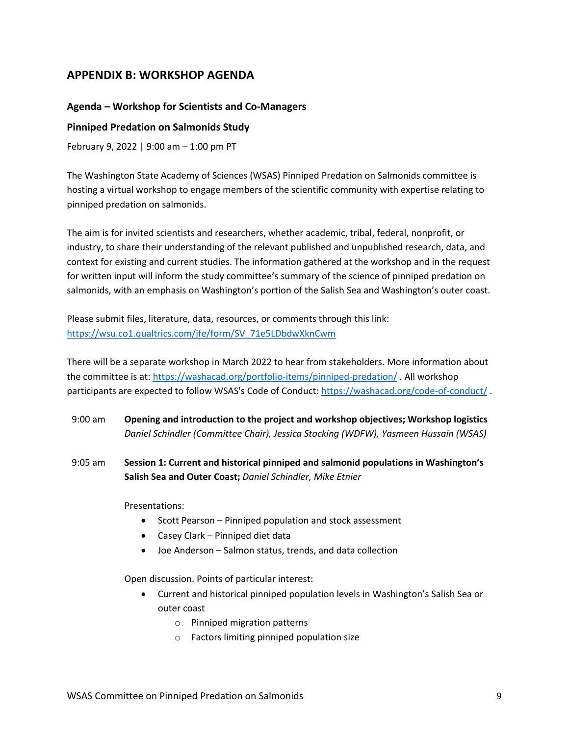# **APPENDIX B: WORKSHOP AGENDA**

#### **Agenda – Workshop for Scientists and Co-Managers**

#### **Pinniped Predation on Salmonids Study**

February 9, 2022 | 9:00 am – 1:00 pm PT

The Washington State Academy of Sciences (WSAS) Pinniped Predation on Salmonids committee is hosting a virtual workshop to engage members of the scientific community with expertise relating to pinniped predation on salmonids.

The aim is for invited scientists and researchers, whether academic, tribal, federal, nonprofit, or industry, to share their understanding of the relevant published and unpublished research, data, and context for existing and current studies. The information gathered at the workshop and in the request for written input will inform the study committee's summary of the science of pinniped predation on salmonids, with an emphasis on Washington's portion of the Salish Sea and Washington's outer coast.

Please submit files, literature, data, resources, or comments through this link: https://wsu.co1.qualtrics.com/jfe/form/SV\_71e5LDbdwXknCwm

There will be a separate workshop in March 2022 to hear from stakeholders. More information about the committee is at: https://washacad.org/portfolio-items/pinniped-predation/ . All workshop participants are expected to follow WSAS's Code of Conduct: https://washacad.org/code-of-conduct/ .

- 9:00 am **Opening and introduction to the project and workshop objectives; Workshop logistics** *Daniel Schindler (Committee Chair), Jessica Stocking (WDFW), Yasmeen Hussain (WSAS)*
- 9:05 am **Session 1: Current and historical pinniped and salmonid populations in Washington's Salish Sea and Outer Coast;** *Daniel Schindler, Mike Etnier*

Presentations:

- Scott Pearson Pinniped population and stock assessment
- Casey Clark Pinniped diet data
- Joe Anderson Salmon status, trends, and data collection

Open discussion. Points of particular interest:

- Current and historical pinniped population levels in Washington's Salish Sea or outer coast
	- o Pinniped migration patterns
	- o Factors limiting pinniped population size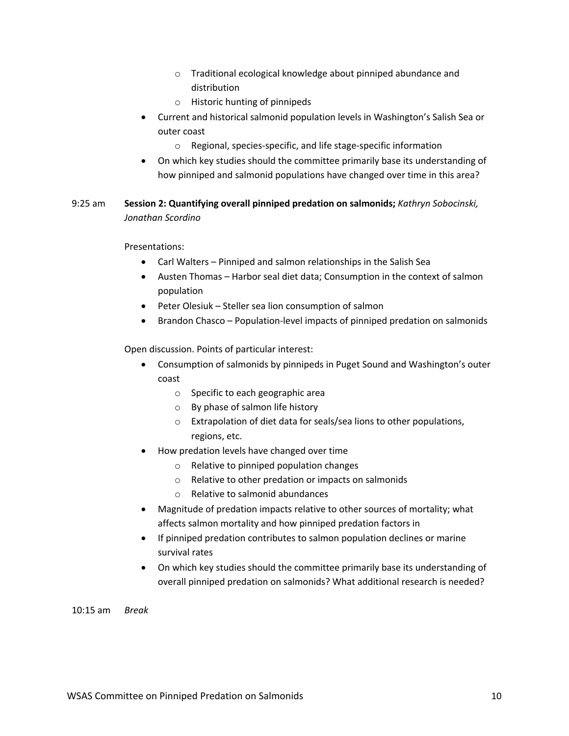- o Traditional ecological knowledge about pinniped abundance and distribution
- o Historic hunting of pinnipeds
- Current and historical salmonid population levels in Washington's Salish Sea or outer coast
	- o Regional, species-specific, and life stage-specific information
- On which key studies should the committee primarily base its understanding of how pinniped and salmonid populations have changed over time in this area?

#### 9:25 am **Session 2: Quantifying overall pinniped predation on salmonids;** *Kathryn Sobocinski, Jonathan Scordino*

Presentations:

- Carl Walters Pinniped and salmon relationships in the Salish Sea
- Austen Thomas Harbor seal diet data; Consumption in the context of salmon population
- Peter Olesiuk Steller sea lion consumption of salmon
- Brandon Chasco Population-level impacts of pinniped predation on salmonids

Open discussion. Points of particular interest:

- Consumption of salmonids by pinnipeds in Puget Sound and Washington's outer coast
	- o Specific to each geographic area
	- o By phase of salmon life history
	- o Extrapolation of diet data for seals/sea lions to other populations, regions, etc.
- How predation levels have changed over time
	- o Relative to pinniped population changes
	- o Relative to other predation or impacts on salmonids
	- o Relative to salmonid abundances
- Magnitude of predation impacts relative to other sources of mortality; what affects salmon mortality and how pinniped predation factors in
- If pinniped predation contributes to salmon population declines or marine survival rates
- On which key studies should the committee primarily base its understanding of overall pinniped predation on salmonids? What additional research is needed?

10:15 am *Break*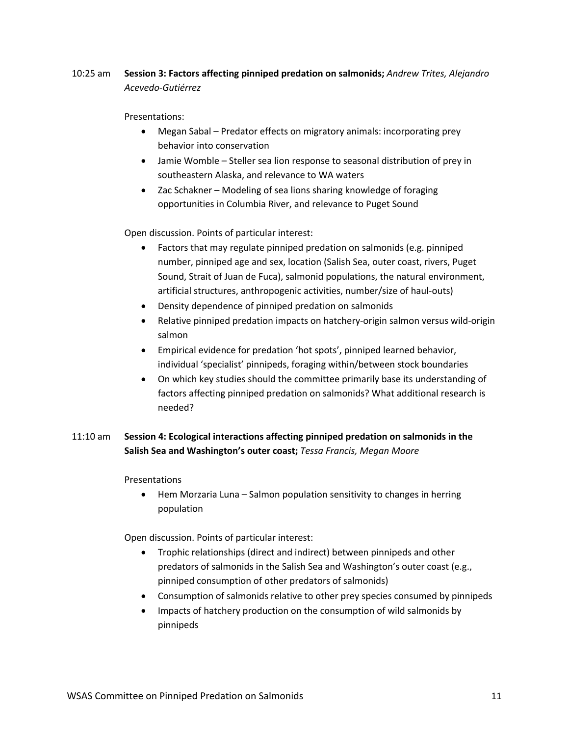# 10:25 am **Session 3: Factors affecting pinniped predation on salmonids;** *Andrew Trites, Alejandro Acevedo-Gutiérrez*

#### Presentations:

- Megan Sabal Predator effects on migratory animals: incorporating prey behavior into conservation
- Jamie Womble Steller sea lion response to seasonal distribution of prey in southeastern Alaska, and relevance to WA waters
- Zac Schakner Modeling of sea lions sharing knowledge of foraging opportunities in Columbia River, and relevance to Puget Sound

Open discussion. Points of particular interest:

- Factors that may regulate pinniped predation on salmonids (e.g. pinniped number, pinniped age and sex, location (Salish Sea, outer coast, rivers, Puget Sound, Strait of Juan de Fuca), salmonid populations, the natural environment, artificial structures, anthropogenic activities, number/size of haul-outs)
- Density dependence of pinniped predation on salmonids
- Relative pinniped predation impacts on hatchery-origin salmon versus wild-origin salmon
- Empirical evidence for predation 'hot spots', pinniped learned behavior, individual 'specialist' pinnipeds, foraging within/between stock boundaries
- On which key studies should the committee primarily base its understanding of factors affecting pinniped predation on salmonids? What additional research is needed?

# 11:10 am **Session 4: Ecological interactions affecting pinniped predation on salmonids in the Salish Sea and Washington's outer coast;** *Tessa Francis, Megan Moore*

#### Presentations

• Hem Morzaria Luna – Salmon population sensitivity to changes in herring population

Open discussion. Points of particular interest:

- Trophic relationships (direct and indirect) between pinnipeds and other predators of salmonids in the Salish Sea and Washington's outer coast (e.g., pinniped consumption of other predators of salmonids)
- Consumption of salmonids relative to other prey species consumed by pinnipeds
- Impacts of hatchery production on the consumption of wild salmonids by pinnipeds